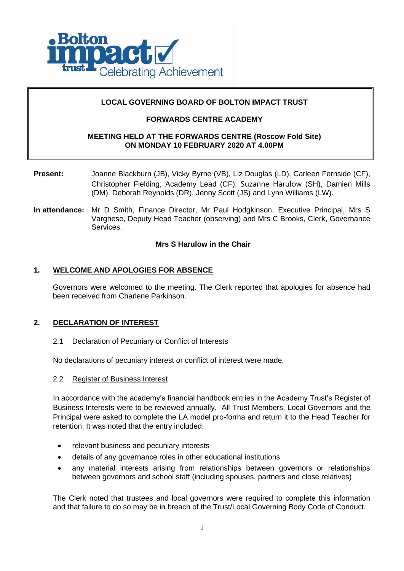

# **LOCAL GOVERNING BOARD OF BOLTON IMPACT TRUST**

# **FORWARDS CENTRE ACADEMY**

# **MEETING HELD AT THE FORWARDS CENTRE (Roscow Fold Site) ON MONDAY 10 FEBRUARY 2020 AT 4.00PM**

- **Present:** Joanne Blackburn (JB), Vicky Byrne (VB), Liz Douglas (LD), Carleen Fernside (CF), Christopher Fielding, Academy Lead (CF), Suzanne Harulow (SH), Damien Mills (DM), Deborah Reynolds (DR), Jenny Scott (JS) and Lynn Williams (LW).
- **In attendance:** Mr D Smith, Finance Director, Mr Paul Hodgkinson, Executive Principal, Mrs S Varghese, Deputy Head Teacher (observing) and Mrs C Brooks, Clerk, Governance Services.

### **Mrs S Harulow in the Chair**

# **1. WELCOME AND APOLOGIES FOR ABSENCE**

Governors were welcomed to the meeting. The Clerk reported that apologies for absence had been received from Charlene Parkinson.

# **2. DECLARATION OF INTEREST**

#### 2.1 Declaration of Pecuniary or Conflict of Interests

No declarations of pecuniary interest or conflict of interest were made.

#### 2.2 Register of Business Interest

In accordance with the academy's financial handbook entries in the Academy Trust's Register of Business Interests were to be reviewed annually. All Trust Members, Local Governors and the Principal were asked to complete the LA model pro-forma and return it to the Head Teacher for retention. It was noted that the entry included:

- relevant business and pecuniary interests
- details of any governance roles in other educational institutions
- any material interests arising from relationships between governors or relationships between governors and school staff (including spouses, partners and close relatives)

The Clerk noted that trustees and local governors were required to complete this information and that failure to do so may be in breach of the Trust/Local Governing Body Code of Conduct.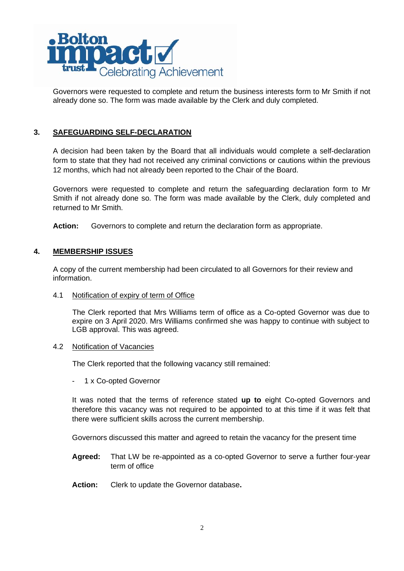

Governors were requested to complete and return the business interests form to Mr Smith if not already done so. The form was made available by the Clerk and duly completed.

# **3. SAFEGUARDING SELF-DECLARATION**

A decision had been taken by the Board that all individuals would complete a self-declaration form to state that they had not received any criminal convictions or cautions within the previous 12 months, which had not already been reported to the Chair of the Board.

Governors were requested to complete and return the safeguarding declaration form to Mr Smith if not already done so. The form was made available by the Clerk, duly completed and returned to Mr Smith.

**Action:** Governors to complete and return the declaration form as appropriate.

# **4. MEMBERSHIP ISSUES**

A copy of the current membership had been circulated to all Governors for their review and information.

4.1 Notification of expiry of term of Office

The Clerk reported that Mrs Williams term of office as a Co-opted Governor was due to expire on 3 April 2020. Mrs Williams confirmed she was happy to continue with subject to LGB approval. This was agreed.

#### 4.2 Notification of Vacancies

The Clerk reported that the following vacancy still remained:

1 x Co-opted Governor

It was noted that the terms of reference stated **up to** eight Co-opted Governors and therefore this vacancy was not required to be appointed to at this time if it was felt that there were sufficient skills across the current membership.

Governors discussed this matter and agreed to retain the vacancy for the present time

- **Agreed:** That LW be re-appointed as a co-opted Governor to serve a further four-year term of office
- **Action:** Clerk to update the Governor database**.**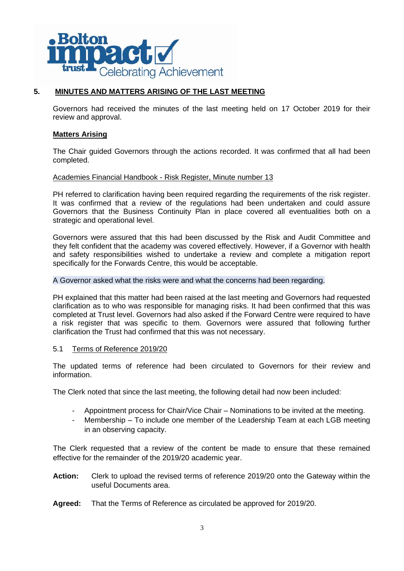

# **5. MINUTES AND MATTERS ARISING OF THE LAST MEETING**

Governors had received the minutes of the last meeting held on 17 October 2019 for their review and approval.

### **Matters Arising**

The Chair guided Governors through the actions recorded. It was confirmed that all had been completed.

### Academies Financial Handbook - Risk Register, Minute number 13

PH referred to clarification having been required regarding the requirements of the risk register. It was confirmed that a review of the regulations had been undertaken and could assure Governors that the Business Continuity Plan in place covered all eventualities both on a strategic and operational level.

Governors were assured that this had been discussed by the Risk and Audit Committee and they felt confident that the academy was covered effectively. However, if a Governor with health and safety responsibilities wished to undertake a review and complete a mitigation report specifically for the Forwards Centre, this would be acceptable.

#### A Governor asked what the risks were and what the concerns had been regarding.

PH explained that this matter had been raised at the last meeting and Governors had requested clarification as to who was responsible for managing risks. It had been confirmed that this was completed at Trust level. Governors had also asked if the Forward Centre were required to have a risk register that was specific to them. Governors were assured that following further clarification the Trust had confirmed that this was not necessary.

#### 5.1 Terms of Reference 2019/20

The updated terms of reference had been circulated to Governors for their review and information.

The Clerk noted that since the last meeting, the following detail had now been included:

- Appointment process for Chair/Vice Chair Nominations to be invited at the meeting.
- Membership To include one member of the Leadership Team at each LGB meeting in an observing capacity.

The Clerk requested that a review of the content be made to ensure that these remained effective for the remainder of the 2019/20 academic year.

- **Action:** Clerk to upload the revised terms of reference 2019/20 onto the Gateway within the useful Documents area.
- **Agreed:** That the Terms of Reference as circulated be approved for 2019/20.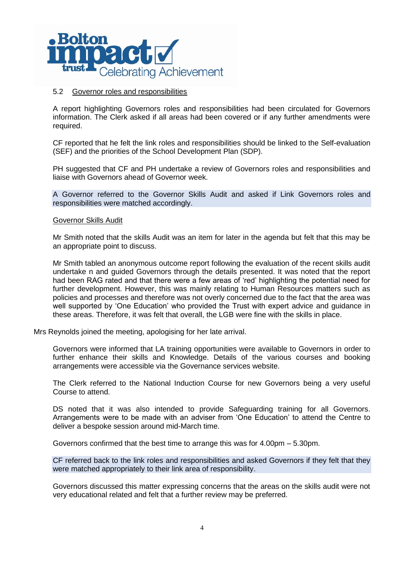

#### 5.2 Governor roles and responsibilities

A report highlighting Governors roles and responsibilities had been circulated for Governors information. The Clerk asked if all areas had been covered or if any further amendments were required.

CF reported that he felt the link roles and responsibilities should be linked to the Self-evaluation (SEF) and the priorities of the School Development Plan (SDP).

PH suggested that CF and PH undertake a review of Governors roles and responsibilities and liaise with Governors ahead of Governor week.

A Governor referred to the Governor Skills Audit and asked if Link Governors roles and responsibilities were matched accordingly.

#### Governor Skills Audit

Mr Smith noted that the skills Audit was an item for later in the agenda but felt that this may be an appropriate point to discuss.

Mr Smith tabled an anonymous outcome report following the evaluation of the recent skills audit undertake n and guided Governors through the details presented. It was noted that the report had been RAG rated and that there were a few areas of 'red' highlighting the potential need for further development. However, this was mainly relating to Human Resources matters such as policies and processes and therefore was not overly concerned due to the fact that the area was well supported by 'One Education' who provided the Trust with expert advice and guidance in these areas. Therefore, it was felt that overall, the LGB were fine with the skills in place.

Mrs Reynolds joined the meeting, apologising for her late arrival.

Governors were informed that LA training opportunities were available to Governors in order to further enhance their skills and Knowledge. Details of the various courses and booking arrangements were accessible via the Governance services website.

The Clerk referred to the National Induction Course for new Governors being a very useful Course to attend.

DS noted that it was also intended to provide Safeguarding training for all Governors. Arrangements were to be made with an adviser from 'One Education' to attend the Centre to deliver a bespoke session around mid-March time.

Governors confirmed that the best time to arrange this was for 4.00pm – 5.30pm.

CF referred back to the link roles and responsibilities and asked Governors if they felt that they were matched appropriately to their link area of responsibility.

Governors discussed this matter expressing concerns that the areas on the skills audit were not very educational related and felt that a further review may be preferred.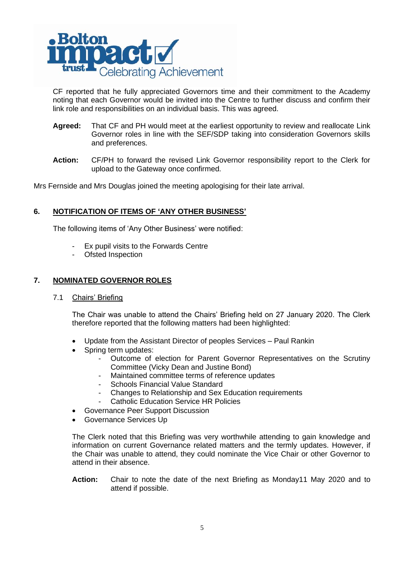

CF reported that he fully appreciated Governors time and their commitment to the Academy noting that each Governor would be invited into the Centre to further discuss and confirm their link role and responsibilities on an individual basis. This was agreed.

- **Agreed:** That CF and PH would meet at the earliest opportunity to review and reallocate Link Governor roles in line with the SEF/SDP taking into consideration Governors skills and preferences.
- **Action:** CF/PH to forward the revised Link Governor responsibility report to the Clerk for upload to the Gateway once confirmed.

Mrs Fernside and Mrs Douglas joined the meeting apologising for their late arrival.

# **6. NOTIFICATION OF ITEMS OF 'ANY OTHER BUSINESS'**

The following items of 'Any Other Business' were notified:

- Ex pupil visits to the Forwards Centre
- Ofsted Inspection

# **7. NOMINATED GOVERNOR ROLES**

7.1 Chairs' Briefing

The Chair was unable to attend the Chairs' Briefing held on 27 January 2020. The Clerk therefore reported that the following matters had been highlighted:

- Update from the Assistant Director of peoples Services Paul Rankin
- Spring term updates:
	- Outcome of election for Parent Governor Representatives on the Scrutiny Committee (Vicky Dean and Justine Bond)
	- Maintained committee terms of reference updates
	- Schools Financial Value Standard
	- Changes to Relationship and Sex Education requirements
	- Catholic Education Service HR Policies
- Governance Peer Support Discussion
- Governance Services Up

The Clerk noted that this Briefing was very worthwhile attending to gain knowledge and information on current Governance related matters and the termly updates. However, if the Chair was unable to attend, they could nominate the Vice Chair or other Governor to attend in their absence.

**Action:** Chair to note the date of the next Briefing as Monday11 May 2020 and to attend if possible.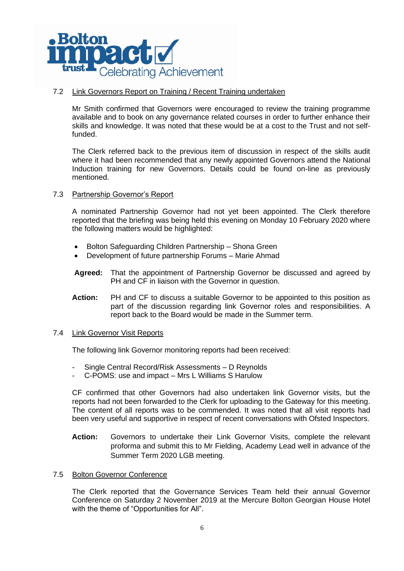

# 7.2 Link Governors Report on Training / Recent Training undertaken

Mr Smith confirmed that Governors were encouraged to review the training programme available and to book on any governance related courses in order to further enhance their skills and knowledge. It was noted that these would be at a cost to the Trust and not selffunded.

The Clerk referred back to the previous item of discussion in respect of the skills audit where it had been recommended that any newly appointed Governors attend the National Induction training for new Governors. Details could be found on-line as previously mentioned.

### 7.3 Partnership Governor's Report

A nominated Partnership Governor had not yet been appointed. The Clerk therefore reported that the briefing was being held this evening on Monday 10 February 2020 where the following matters would be highlighted:

- Bolton Safeguarding Children Partnership Shona Green
- Development of future partnership Forums Marie Ahmad
- **Agreed:** That the appointment of Partnership Governor be discussed and agreed by PH and CF in liaison with the Governor in question.
- **Action:** PH and CF to discuss a suitable Governor to be appointed to this position as part of the discussion regarding link Governor roles and responsibilities. A report back to the Board would be made in the Summer term.

#### 7.4 Link Governor Visit Reports

The following link Governor monitoring reports had been received:

- Single Central Record/Risk Assessments D Reynolds
- C-POMS: use and impact Mrs L Williams S Harulow

CF confirmed that other Governors had also undertaken link Governor visits, but the reports had not been forwarded to the Clerk for uploading to the Gateway for this meeting. The content of all reports was to be commended. It was noted that all visit reports had been very useful and supportive in respect of recent conversations with Ofsted Inspectors.

- **Action:** Governors to undertake their Link Governor Visits, complete the relevant proforma and submit this to Mr Fielding, Academy Lead well in advance of the Summer Term 2020 LGB meeting.
- 7.5 Bolton Governor Conference

The Clerk reported that the Governance Services Team held their annual Governor Conference on Saturday 2 November 2019 at the Mercure Bolton Georgian House Hotel with the theme of "Opportunities for All".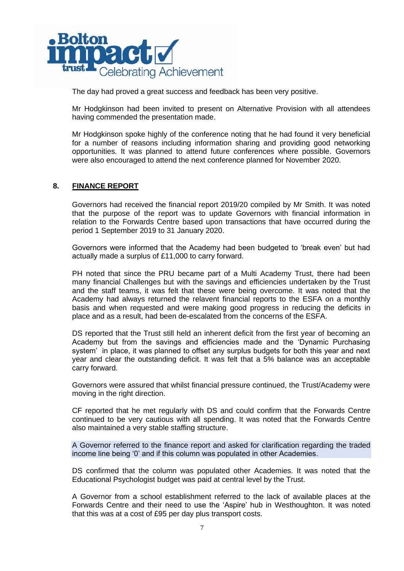

The day had proved a great success and feedback has been very positive.

Mr Hodgkinson had been invited to present on Alternative Provision with all attendees having commended the presentation made.

Mr Hodgkinson spoke highly of the conference noting that he had found it very beneficial for a number of reasons including information sharing and providing good networking opportunities. It was planned to attend future conferences where possible. Governors were also encouraged to attend the next conference planned for November 2020.

# **8. FINANCE REPORT**

Governors had received the financial report 2019/20 compiled by Mr Smith. It was noted that the purpose of the report was to update Governors with financial information in relation to the Forwards Centre based upon transactions that have occurred during the period 1 September 2019 to 31 January 2020.

Governors were informed that the Academy had been budgeted to 'break even' but had actually made a surplus of £11,000 to carry forward.

PH noted that since the PRU became part of a Multi Academy Trust, there had been many financial Challenges but with the savings and efficiencies undertaken by the Trust and the staff teams, it was felt that these were being overcome. It was noted that the Academy had always returned the relavent financial reports to the ESFA on a monthly basis and when requested and were making good progress in reducing the deficits in place and as a result, had been de-escalated from the concerns of the ESFA.

DS reported that the Trust still held an inherent deficit from the first year of becoming an Academy but from the savings and efficiencies made and the 'Dynamic Purchasing system' in place, it was planned to offset any surplus budgets for both this year and next year and clear the outstanding deficit. It was felt that a 5% balance was an acceptable carry forward.

Governors were assured that whilst financial pressure continued, the Trust/Academy were moving in the right direction.

CF reported that he met regularly with DS and could confirm that the Forwards Centre continued to be very cautious with all spending. It was noted that the Forwards Centre also maintained a very stable staffing structure.

A Governor referred to the finance report and asked for clarification regarding the traded income line being '0' and if this column was populated in other Academies.

DS confirmed that the column was populated other Academies. It was noted that the Educational Psychologist budget was paid at central level by the Trust.

A Governor from a school establishment referred to the lack of available places at the Forwards Centre and their need to use the 'Aspire' hub in Westhoughton. It was noted that this was at a cost of £95 per day plus transport costs.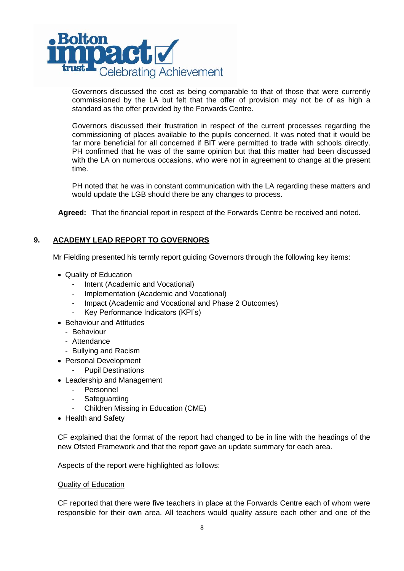

Governors discussed the cost as being comparable to that of those that were currently commissioned by the LA but felt that the offer of provision may not be of as high a standard as the offer provided by the Forwards Centre.

Governors discussed their frustration in respect of the current processes regarding the commissioning of places available to the pupils concerned. It was noted that it would be far more beneficial for all concerned if BIT were permitted to trade with schools directly. PH confirmed that he was of the same opinion but that this matter had been discussed with the LA on numerous occasions, who were not in agreement to change at the present time.

PH noted that he was in constant communication with the LA regarding these matters and would update the LGB should there be any changes to process.

**Agreed:** That the financial report in respect of the Forwards Centre be received and noted.

# **9. ACADEMY LEAD REPORT TO GOVERNORS**

Mr Fielding presented his termly report guiding Governors through the following key items:

- Quality of Education
	- Intent (Academic and Vocational)
	- Implementation (Academic and Vocational)
	- Impact (Academic and Vocational and Phase 2 Outcomes)
	- Key Performance Indicators (KPI's)
- Behaviour and Attitudes
	- Behaviour
	- Attendance
	- Bullying and Racism
- Personal Development
	- Pupil Destinations
- Leadership and Management
	- Personnel
	- **Safeguarding**
	- Children Missing in Education (CME)
- Health and Safety

CF explained that the format of the report had changed to be in line with the headings of the new Ofsted Framework and that the report gave an update summary for each area.

Aspects of the report were highlighted as follows:

#### Quality of Education

CF reported that there were five teachers in place at the Forwards Centre each of whom were responsible for their own area. All teachers would quality assure each other and one of the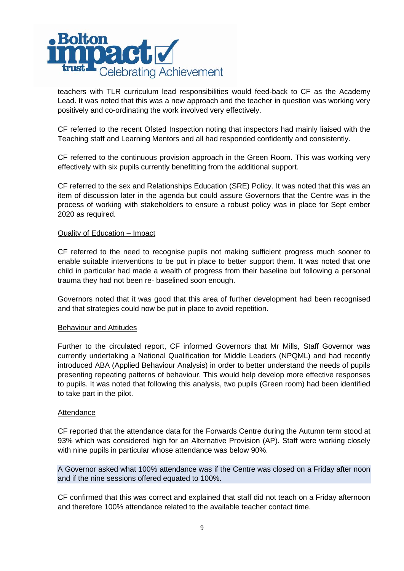

teachers with TLR curriculum lead responsibilities would feed-back to CF as the Academy Lead. It was noted that this was a new approach and the teacher in question was working very positively and co-ordinating the work involved very effectively.

CF referred to the recent Ofsted Inspection noting that inspectors had mainly liaised with the Teaching staff and Learning Mentors and all had responded confidently and consistently.

CF referred to the continuous provision approach in the Green Room. This was working very effectively with six pupils currently benefitting from the additional support.

CF referred to the sex and Relationships Education (SRE) Policy. It was noted that this was an item of discussion later in the agenda but could assure Governors that the Centre was in the process of working with stakeholders to ensure a robust policy was in place for Sept ember 2020 as required.

### Quality of Education – Impact

CF referred to the need to recognise pupils not making sufficient progress much sooner to enable suitable interventions to be put in place to better support them. It was noted that one child in particular had made a wealth of progress from their baseline but following a personal trauma they had not been re- baselined soon enough.

Governors noted that it was good that this area of further development had been recognised and that strategies could now be put in place to avoid repetition.

#### Behaviour and Attitudes

Further to the circulated report, CF informed Governors that Mr Mills, Staff Governor was currently undertaking a National Qualification for Middle Leaders (NPQML) and had recently introduced ABA (Applied Behaviour Analysis) in order to better understand the needs of pupils presenting repeating patterns of behaviour. This would help develop more effective responses to pupils. It was noted that following this analysis, two pupils (Green room) had been identified to take part in the pilot.

#### **Attendance**

CF reported that the attendance data for the Forwards Centre during the Autumn term stood at 93% which was considered high for an Alternative Provision (AP). Staff were working closely with nine pupils in particular whose attendance was below 90%.

A Governor asked what 100% attendance was if the Centre was closed on a Friday after noon and if the nine sessions offered equated to 100%.

CF confirmed that this was correct and explained that staff did not teach on a Friday afternoon and therefore 100% attendance related to the available teacher contact time.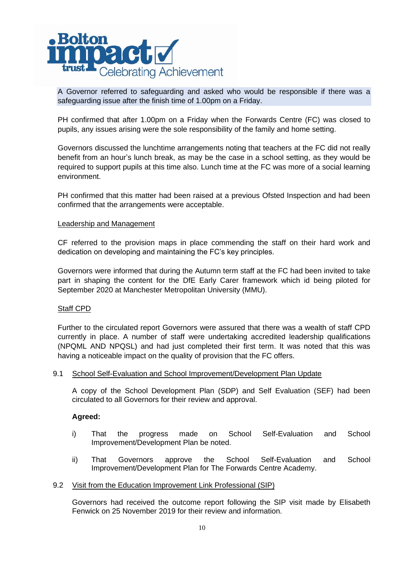

A Governor referred to safeguarding and asked who would be responsible if there was a safeguarding issue after the finish time of 1.00pm on a Friday.

PH confirmed that after 1.00pm on a Friday when the Forwards Centre (FC) was closed to pupils, any issues arising were the sole responsibility of the family and home setting.

Governors discussed the lunchtime arrangements noting that teachers at the FC did not really benefit from an hour's lunch break, as may be the case in a school setting, as they would be required to support pupils at this time also. Lunch time at the FC was more of a social learning environment.

PH confirmed that this matter had been raised at a previous Ofsted Inspection and had been confirmed that the arrangements were acceptable.

### Leadership and Management

CF referred to the provision maps in place commending the staff on their hard work and dedication on developing and maintaining the FC's key principles.

Governors were informed that during the Autumn term staff at the FC had been invited to take part in shaping the content for the DfE Early Carer framework which id being piloted for September 2020 at Manchester Metropolitan University (MMU).

#### Staff CPD

Further to the circulated report Governors were assured that there was a wealth of staff CPD currently in place. A number of staff were undertaking accredited leadership qualifications (NPQML AND NPQSL) and had just completed their first term. It was noted that this was having a noticeable impact on the quality of provision that the FC offers.

#### 9.1 School Self-Evaluation and School Improvement/Development Plan Update

A copy of the School Development Plan (SDP) and Self Evaluation (SEF) had been circulated to all Governors for their review and approval.

#### **Agreed:**

- i) That the progress made on School Self-Evaluation and School Improvement/Development Plan be noted.
- ii) That Governors approve the School Self-Evaluation and School Improvement/Development Plan for The Forwards Centre Academy.

#### 9.2 Visit from the Education Improvement Link Professional (SIP)

Governors had received the outcome report following the SIP visit made by Elisabeth Fenwick on 25 November 2019 for their review and information.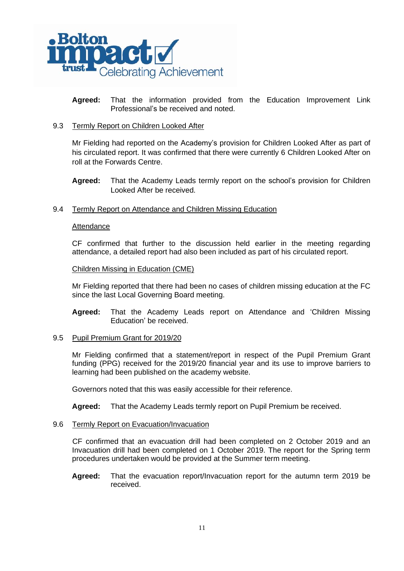

**Agreed:** That the information provided from the Education Improvement Link Professional's be received and noted.

### 9.3 Termly Report on Children Looked After

Mr Fielding had reported on the Academy's provision for Children Looked After as part of his circulated report. It was confirmed that there were currently 6 Children Looked After on roll at the Forwards Centre.

**Agreed:** That the Academy Leads termly report on the school's provision for Children Looked After be received.

#### 9.4 Termly Report on Attendance and Children Missing Education

#### Attendance

CF confirmed that further to the discussion held earlier in the meeting regarding attendance, a detailed report had also been included as part of his circulated report.

#### Children Missing in Education (CME)

Mr Fielding reported that there had been no cases of children missing education at the FC since the last Local Governing Board meeting.

**Agreed:** That the Academy Leads report on Attendance and 'Children Missing Education' be received.

#### 9.5 Pupil Premium Grant for 2019/20

Mr Fielding confirmed that a statement/report in respect of the Pupil Premium Grant funding (PPG) received for the 2019/20 financial year and its use to improve barriers to learning had been published on the academy website.

Governors noted that this was easily accessible for their reference.

**Agreed:** That the Academy Leads termly report on Pupil Premium be received.

#### 9.6 Termly Report on Evacuation/Invacuation

CF confirmed that an evacuation drill had been completed on 2 October 2019 and an Invacuation drill had been completed on 1 October 2019. The report for the Spring term procedures undertaken would be provided at the Summer term meeting.

**Agreed:** That the evacuation report/Invacuation report for the autumn term 2019 be received.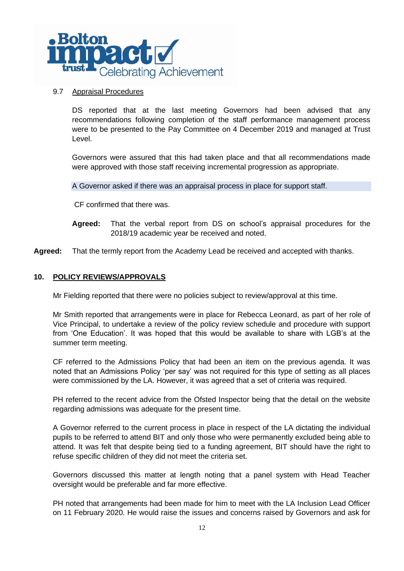

### 9.7 Appraisal Procedures

DS reported that at the last meeting Governors had been advised that any recommendations following completion of the staff performance management process were to be presented to the Pay Committee on 4 December 2019 and managed at Trust Level.

Governors were assured that this had taken place and that all recommendations made were approved with those staff receiving incremental progression as appropriate.

A Governor asked if there was an appraisal process in place for support staff.

CF confirmed that there was.

- **Agreed:** That the verbal report from DS on school's appraisal procedures for the 2018/19 academic year be received and noted.
- **Agreed:** That the termly report from the Academy Lead be received and accepted with thanks.

# **10. POLICY REVIEWS/APPROVALS**

Mr Fielding reported that there were no policies subject to review/approval at this time.

Mr Smith reported that arrangements were in place for Rebecca Leonard, as part of her role of Vice Principal, to undertake a review of the policy review schedule and procedure with support from 'One Education'. It was hoped that this would be available to share with LGB's at the summer term meeting.

CF referred to the Admissions Policy that had been an item on the previous agenda. It was noted that an Admissions Policy 'per say' was not required for this type of setting as all places were commissioned by the LA. However, it was agreed that a set of criteria was required.

PH referred to the recent advice from the Ofsted Inspector being that the detail on the website regarding admissions was adequate for the present time.

A Governor referred to the current process in place in respect of the LA dictating the individual pupils to be referred to attend BIT and only those who were permanently excluded being able to attend. It was felt that despite being tied to a funding agreement, BIT should have the right to refuse specific children of they did not meet the criteria set.

Governors discussed this matter at length noting that a panel system with Head Teacher oversight would be preferable and far more effective.

PH noted that arrangements had been made for him to meet with the LA Inclusion Lead Officer on 11 February 2020. He would raise the issues and concerns raised by Governors and ask for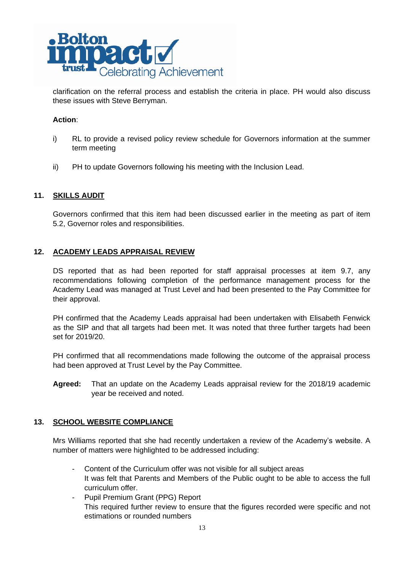

clarification on the referral process and establish the criteria in place. PH would also discuss these issues with Steve Berryman.

# **Action**:

- i) RL to provide a revised policy review schedule for Governors information at the summer term meeting
- ii) PH to update Governors following his meeting with the Inclusion Lead.

# **11. SKILLS AUDIT**

Governors confirmed that this item had been discussed earlier in the meeting as part of item 5.2, Governor roles and responsibilities.

# **12. ACADEMY LEADS APPRAISAL REVIEW**

DS reported that as had been reported for staff appraisal processes at item 9.7, any recommendations following completion of the performance management process for the Academy Lead was managed at Trust Level and had been presented to the Pay Committee for their approval.

PH confirmed that the Academy Leads appraisal had been undertaken with Elisabeth Fenwick as the SIP and that all targets had been met. It was noted that three further targets had been set for 2019/20.

PH confirmed that all recommendations made following the outcome of the appraisal process had been approved at Trust Level by the Pay Committee.

**Agreed:** That an update on the Academy Leads appraisal review for the 2018/19 academic year be received and noted.

# **13. SCHOOL WEBSITE COMPLIANCE**

Mrs Williams reported that she had recently undertaken a review of the Academy's website. A number of matters were highlighted to be addressed including:

- Content of the Curriculum offer was not visible for all subject areas It was felt that Parents and Members of the Public ought to be able to access the full curriculum offer.
- Pupil Premium Grant (PPG) Report This required further review to ensure that the figures recorded were specific and not estimations or rounded numbers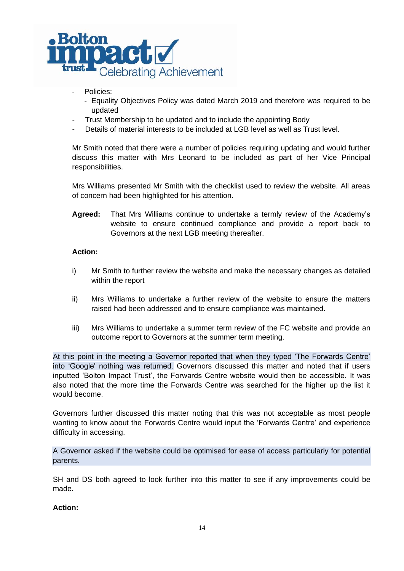

- Policies:
	- Equality Objectives Policy was dated March 2019 and therefore was required to be updated
- Trust Membership to be updated and to include the appointing Body
- Details of material interests to be included at LGB level as well as Trust level.

Mr Smith noted that there were a number of policies requiring updating and would further discuss this matter with Mrs Leonard to be included as part of her Vice Principal responsibilities.

Mrs Williams presented Mr Smith with the checklist used to review the website. All areas of concern had been highlighted for his attention.

**Agreed:** That Mrs Williams continue to undertake a termly review of the Academy's website to ensure continued compliance and provide a report back to Governors at the next LGB meeting thereafter.

# **Action:**

- i) Mr Smith to further review the website and make the necessary changes as detailed within the report
- ii) Mrs Williams to undertake a further review of the website to ensure the matters raised had been addressed and to ensure compliance was maintained.
- iii) Mrs Williams to undertake a summer term review of the FC website and provide an outcome report to Governors at the summer term meeting.

At this point in the meeting a Governor reported that when they typed 'The Forwards Centre' into 'Google' nothing was returned. Governors discussed this matter and noted that if users inputted 'Bolton Impact Trust', the Forwards Centre website would then be accessible. It was also noted that the more time the Forwards Centre was searched for the higher up the list it would become.

Governors further discussed this matter noting that this was not acceptable as most people wanting to know about the Forwards Centre would input the 'Forwards Centre' and experience difficulty in accessing.

A Governor asked if the website could be optimised for ease of access particularly for potential parents.

SH and DS both agreed to look further into this matter to see if any improvements could be made.

# **Action:**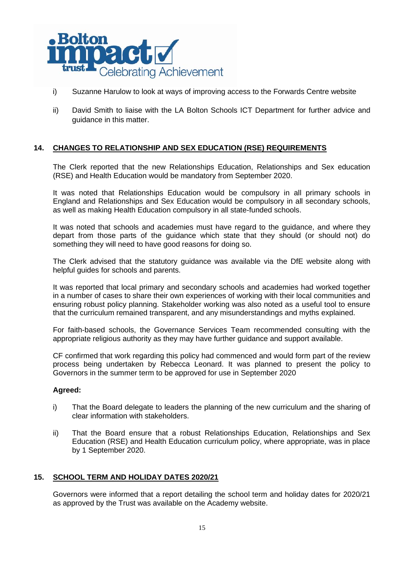

- i) Suzanne Harulow to look at ways of improving access to the Forwards Centre website
- ii) David Smith to liaise with the LA Bolton Schools ICT Department for further advice and guidance in this matter.

# **14. CHANGES TO RELATIONSHIP AND SEX EDUCATION (RSE) REQUIREMENTS**

The Clerk reported that the new Relationships Education, Relationships and Sex education (RSE) and Health Education would be mandatory from September 2020.

It was noted that Relationships Education would be compulsory in all primary schools in England and Relationships and Sex Education would be compulsory in all secondary schools, as well as making Health Education compulsory in all state-funded schools.

It was noted that schools and academies must have regard to the guidance, and where they depart from those parts of the guidance which state that they should (or should not) do something they will need to have good reasons for doing so.

The Clerk advised that the statutory guidance was available via the DfE website along with helpful guides for schools and parents.

It was reported that local primary and secondary schools and academies had worked together in a number of cases to share their own experiences of working with their local communities and ensuring robust policy planning. Stakeholder working was also noted as a useful tool to ensure that the curriculum remained transparent, and any misunderstandings and myths explained.

For faith-based schools, the Governance Services Team recommended consulting with the appropriate religious authority as they may have further guidance and support available.

CF confirmed that work regarding this policy had commenced and would form part of the review process being undertaken by Rebecca Leonard. It was planned to present the policy to Governors in the summer term to be approved for use in September 2020

#### **Agreed:**

- i) That the Board delegate to leaders the planning of the new curriculum and the sharing of clear information with stakeholders.
- ii) That the Board ensure that a robust Relationships Education, Relationships and Sex Education (RSE) and Health Education curriculum policy, where appropriate, was in place by 1 September 2020.

# **15. SCHOOL TERM AND HOLIDAY DATES 2020/21**

Governors were informed that a report detailing the school term and holiday dates for 2020/21 as approved by the Trust was available on the Academy website.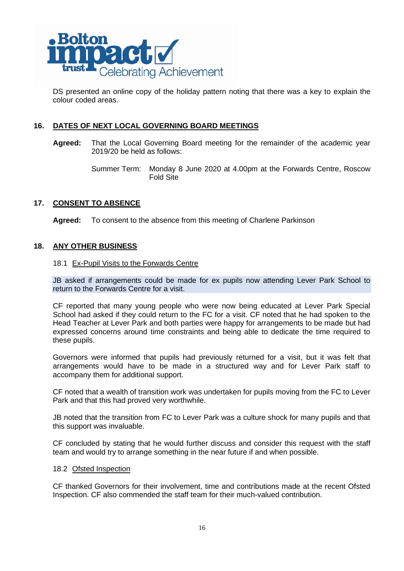

DS presented an online copy of the holiday pattern noting that there was a key to explain the colour coded areas.

# **16. DATES OF NEXT LOCAL GOVERNING BOARD MEETINGS**

- **Agreed:** That the Local Governing Board meeting for the remainder of the academic year 2019/20 be held as follows:
	- Summer Term: Monday 8 June 2020 at 4.00pm at the Forwards Centre, Roscow Fold Site

#### **17. CONSENT TO ABSENCE**

**Agreed:** To consent to the absence from this meeting of Charlene Parkinson

#### **18. ANY OTHER BUSINESS**

#### 18.1 Ex-Pupil Visits to the Forwards Centre

JB asked if arrangements could be made for ex pupils now attending Lever Park School to return to the Forwards Centre for a visit.

CF reported that many young people who were now being educated at Lever Park Special School had asked if they could return to the FC for a visit. CF noted that he had spoken to the Head Teacher at Lever Park and both parties were happy for arrangements to be made but had expressed concerns around time constraints and being able to dedicate the time required to these pupils.

Governors were informed that pupils had previously returned for a visit, but it was felt that arrangements would have to be made in a structured way and for Lever Park staff to accompany them for additional support.

CF noted that a wealth of transition work was undertaken for pupils moving from the FC to Lever Park and that this had proved very worthwhile.

JB noted that the transition from FC to Lever Park was a culture shock for many pupils and that this support was invaluable.

CF concluded by stating that he would further discuss and consider this request with the staff team and would try to arrange something in the near future if and when possible.

#### 18.2 Ofsted Inspection

CF thanked Governors for their involvement, time and contributions made at the recent Ofsted Inspection. CF also commended the staff team for their much-valued contribution.